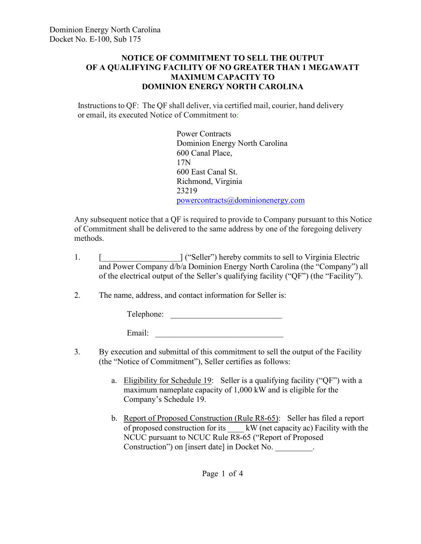## **NOTICE OF COMMITMENT TO SELL THE OUTPUT OF A QUALIFYING FACILITY OF NO GREATER THAN 1 MEGAWATT MAXIMUM CAPACITY TO DOMINION ENERGY NORTH CAROLINA**

Instructions to QF: The QF shall deliver, via certified mail, courier, hand delivery or email, its executed Notice of Commitment to:

> Power Contracts Dominion Energy North Carolina 600 Canal Place, 17N 600 East Canal St. Richmond, Virginia 23219 [powercontracts@dominionenergy.com](mailto:powercontracts@dominionenergy.com)

Any subsequent notice that a QF is required to provide to Company pursuant to this Notice of Commitment shall be delivered to the same address by one of the foregoing delivery methods.

- 1. [ [ [[[[[[[[[[]]] [[[[[]] [[[]] [[[]] [[[]] [[] [[] [[]] [[] [[] [[] [[]] [[] [[] [[] [[]] [[] [[] [[] [[] [[] [[] [[] [[] [[] [[] [[] [[] [[] [[] [[] [[] [[] [[] [[] [[] [[] [[] [[] [[] [[] [[] [[] [[] [[] [[] [[] [[] and Power Company d/b/a Dominion Energy North Carolina (the "Company") all of the electrical output of the Seller's qualifying facility ("QF") (the "Facility").
- 2. The name, address, and contact information for Seller is:

Telephone: \_\_\_\_\_\_\_\_\_\_\_\_\_\_\_\_\_\_\_\_\_\_\_\_\_\_\_

Email: \_\_\_\_\_\_\_\_\_\_\_\_\_\_\_\_\_\_\_\_\_\_\_\_\_\_\_\_\_\_\_

- 3. By execution and submittal of this commitment to sell the output of the Facility (the "Notice of Commitment"), Seller certifies as follows:
	- a. Eligibility for Schedule 19: Seller is a qualifying facility ("QF") with a maximum nameplate capacity of 1,000 kW and is eligible for the Company's Schedule 19.
	- b. Report of Proposed Construction (Rule R8-65): Seller has filed a report of proposed construction for its \_\_\_\_ kW (net capacity ac) Facility with the NCUC pursuant to NCUC Rule R8-65 ("Report of Proposed Construction") on [insert date] in Docket No. \_\_\_\_\_\_\_\_.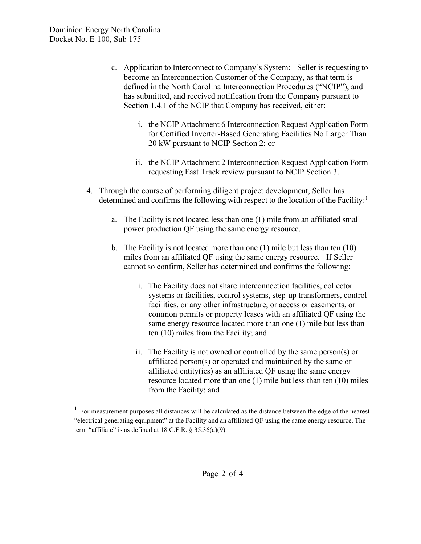- c. Application to Interconnect to Company's System: Seller is requesting to become an Interconnection Customer of the Company, as that term is defined in the North Carolina Interconnection Procedures ("NCIP"), and has submitted, and received notification from the Company pursuant to Section 1.4.1 of the NCIP that Company has received, either:
	- i. the NCIP Attachment 6 Interconnection Request Application Form for Certified Inverter-Based Generating Facilities No Larger Than 20 kW pursuant to NCIP Section 2; or
	- ii. the NCIP Attachment 2 Interconnection Request Application Form requesting Fast Track review pursuant to NCIP Section 3.
- 4. Through the course of performing diligent project development, Seller has determined and confirms the following with respect to the location of the Facility:<sup>[1](#page-1-0)</sup>
	- a. The Facility is not located less than one (1) mile from an affiliated small power production QF using the same energy resource.
	- b. The Facility is not located more than one (1) mile but less than ten (10) miles from an affiliated QF using the same energy resource. If Seller cannot so confirm, Seller has determined and confirms the following:
		- i. The Facility does not share interconnection facilities, collector systems or facilities, control systems, step-up transformers, control facilities, or any other infrastructure, or access or easements, or common permits or property leases with an affiliated QF using the same energy resource located more than one (1) mile but less than ten (10) miles from the Facility; and
		- ii. The Facility is not owned or controlled by the same person(s) or affiliated person(s) or operated and maintained by the same or affiliated entity(ies) as an affiliated QF using the same energy resource located more than one (1) mile but less than ten (10) miles from the Facility; and

<span id="page-1-0"></span><sup>&</sup>lt;sup>1</sup> For measurement purposes all distances will be calculated as the distance between the edge of the nearest "electrical generating equipment" at the Facility and an affiliated QF using the same energy resource. The term "affiliate" is as defined at  $18$  C.F.R. §  $35.36(a)(9)$ .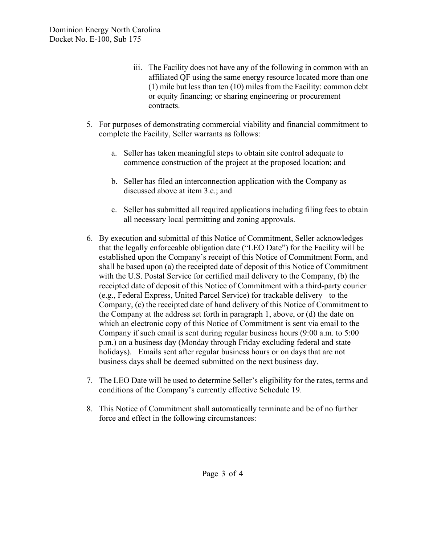- iii. The Facility does not have any of the following in common with an affiliated QF using the same energy resource located more than one (1) mile but less than ten (10) miles from the Facility: common debt or equity financing; or sharing engineering or procurement contracts.
- 5. For purposes of demonstrating commercial viability and financial commitment to complete the Facility, Seller warrants as follows:
	- a. Seller has taken meaningful steps to obtain site control adequate to commence construction of the project at the proposed location; and
	- b. Seller has filed an interconnection application with the Company as discussed above at item 3.c.; and
	- c. Seller has submitted all required applications including filing fees to obtain all necessary local permitting and zoning approvals.
- 6. By execution and submittal of this Notice of Commitment, Seller acknowledges that the legally enforceable obligation date ("LEO Date") for the Facility will be established upon the Company's receipt of this Notice of Commitment Form, and shall be based upon (a) the receipted date of deposit of this Notice of Commitment with the U.S. Postal Service for certified mail delivery to the Company, (b) the receipted date of deposit of this Notice of Commitment with a third-party courier (e.g., Federal Express, United Parcel Service) for trackable delivery to the Company, (c) the receipted date of hand delivery of this Notice of Commitment to the Company at the address set forth in paragraph 1, above, or (d) the date on which an electronic copy of this Notice of Commitment is sent via email to the Company if such email is sent during regular business hours (9:00 a.m. to 5:00 p.m.) on a business day (Monday through Friday excluding federal and state holidays). Emails sent after regular business hours or on days that are not business days shall be deemed submitted on the next business day.
- 7. The LEO Date will be used to determine Seller's eligibility for the rates, terms and conditions of the Company's currently effective Schedule 19.
- 8. This Notice of Commitment shall automatically terminate and be of no further force and effect in the following circumstances: